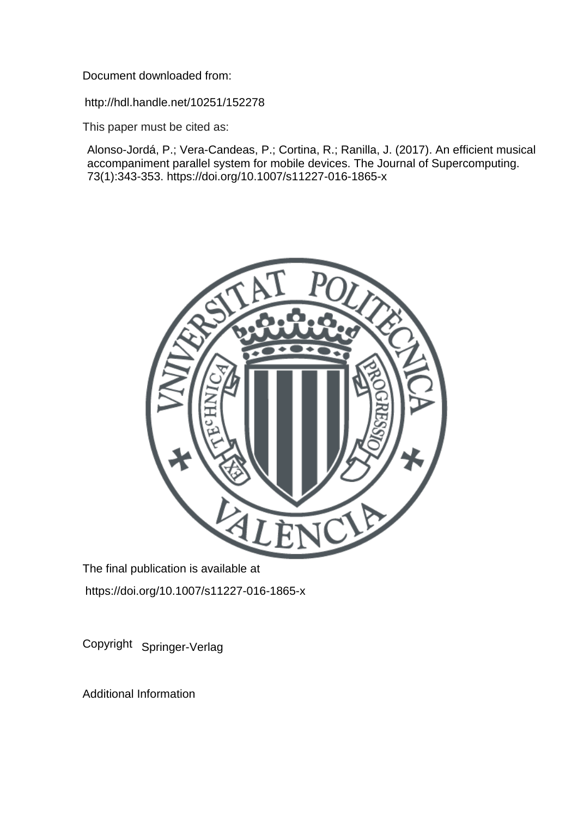Document downloaded from:

http://hdl.handle.net/10251/152278

This paper must be cited as:

Alonso-Jordá, P.; Vera-Candeas, P.; Cortina, R.; Ranilla, J. (2017). An efficient musical accompaniment parallel system for mobile devices. The Journal of Supercomputing. 73(1):343-353. https://doi.org/10.1007/s11227-016-1865-x



The final publication is available at https://doi.org/10.1007/s11227-016-1865-x

Copyright Springer-Verlag

Additional Information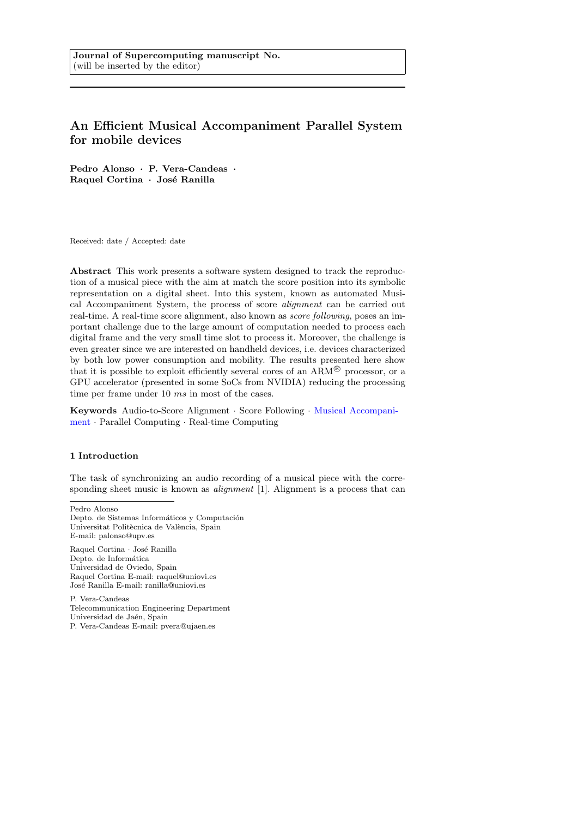# An Efficient Musical Accompaniment Parallel System for mobile devices

Pedro Alonso · P. Vera-Candeas · Raquel Cortina · José Ranilla

Received: date / Accepted: date

Abstract This work presents a software system designed to track the reproduction of a musical piece with the aim at match the score position into its symbolic representation on a digital sheet. Into this system, known as automated Musical Accompaniment System, the process of score alignment can be carried out real-time. A real-time score alignment, also known as score following, poses an important challenge due to the large amount of computation needed to process each digital frame and the very small time slot to process it. Moreover, the challenge is even greater since we are interested on handheld devices, i.e. devices characterized by both low power consumption and mobility. The results presented here show that it is possible to exploit efficiently several cores of an  $ARM^{\circledR}$  processor, or a GPU accelerator (presented in some SoCs from NVIDIA) reducing the processing time per frame under 10 ms in most of the cases.

Keywords Audio-to-Score Alignment · Score Following · Musical Accompaniment · Parallel Computing · Real-time Computing

### 1 Introduction

The task of synchronizing an audio recording of a musical piece with the corresponding sheet music is known as *alignment* [1]. Alignment is a process that can

Pedro Alonso

Raquel Cortina · José Ranilla Depto. de Informática Universidad de Oviedo, Spain Raquel Cortina E-mail: raquel@uniovi.es José Ranilla E-mail: ranilla@uniovi.es

P. Vera-Candeas Telecommunication Engineering Department Universidad de Jaén, Spain P. Vera-Candeas E-mail: pvera@ujaen.es

Depto. de Sistemas Informáticos y Computación Universitat Politècnica de València, Spain E-mail: palonso@upv.es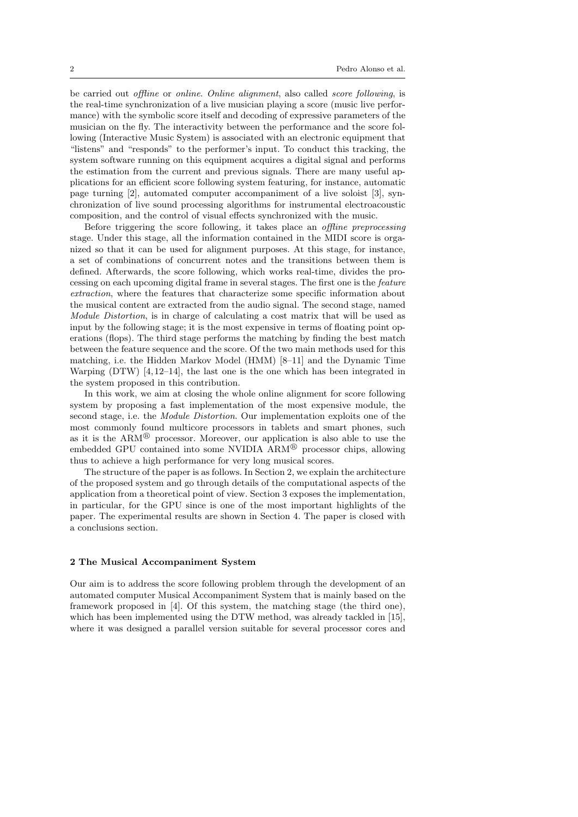be carried out offline or online. Online alignment, also called score following, is the real-time synchronization of a live musician playing a score (music live performance) with the symbolic score itself and decoding of expressive parameters of the musician on the fly. The interactivity between the performance and the score following (Interactive Music System) is associated with an electronic equipment that "listens" and "responds" to the performer's input. To conduct this tracking, the system software running on this equipment acquires a digital signal and performs the estimation from the current and previous signals. There are many useful applications for an efficient score following system featuring, for instance, automatic page turning [2], automated computer accompaniment of a live soloist [3], synchronization of live sound processing algorithms for instrumental electroacoustic composition, and the control of visual effects synchronized with the music.

Before triggering the score following, it takes place an offline preprocessing stage. Under this stage, all the information contained in the MIDI score is organized so that it can be used for alignment purposes. At this stage, for instance, a set of combinations of concurrent notes and the transitions between them is defined. Afterwards, the score following, which works real-time, divides the processing on each upcoming digital frame in several stages. The first one is the feature extraction, where the features that characterize some specific information about the musical content are extracted from the audio signal. The second stage, named Module Distortion, is in charge of calculating a cost matrix that will be used as input by the following stage; it is the most expensive in terms of floating point operations (flops). The third stage performs the matching by finding the best match between the feature sequence and the score. Of the two main methods used for this matching, i.e. the Hidden Markov Model (HMM) [8–11] and the Dynamic Time Warping  $(DTW)$  [4, 12–14], the last one is the one which has been integrated in the system proposed in this contribution.

In this work, we aim at closing the whole online alignment for score following system by proposing a fast implementation of the most expensive module, the second stage, i.e. the Module Distortion. Our implementation exploits one of the most commonly found multicore processors in tablets and smart phones, such as it is the  $ARM^{\circledR}$  processor. Moreover, our application is also able to use the embedded GPU contained into some NVIDIA ARM<sup>®</sup> processor chips, allowing thus to achieve a high performance for very long musical scores.

The structure of the paper is as follows. In Section 2, we explain the architecture of the proposed system and go through details of the computational aspects of the application from a theoretical point of view. Section 3 exposes the implementation, in particular, for the GPU since is one of the most important highlights of the paper. The experimental results are shown in Section 4. The paper is closed with a conclusions section.

# 2 The Musical Accompaniment System

Our aim is to address the score following problem through the development of an automated computer Musical Accompaniment System that is mainly based on the framework proposed in [4]. Of this system, the matching stage (the third one), which has been implemented using the DTW method, was already tackled in [15], where it was designed a parallel version suitable for several processor cores and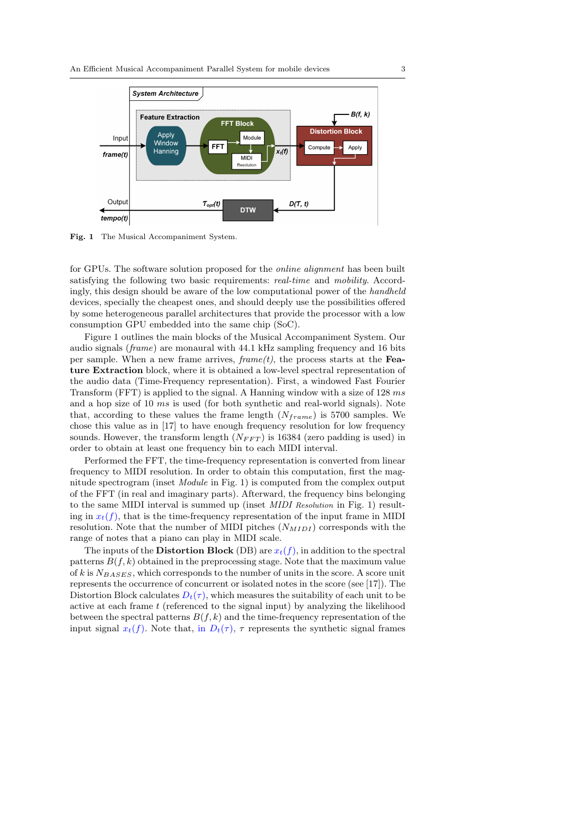

Fig. 1 The Musical Accompaniment System.

for GPUs. The software solution proposed for the online alignment has been built satisfying the following two basic requirements: *real-time* and *mobility*. Accordingly, this design should be aware of the low computational power of the handheld devices, specially the cheapest ones, and should deeply use the possibilities offered by some heterogeneous parallel architectures that provide the processor with a low consumption GPU embedded into the same chip (SoC).

Figure 1 outlines the main blocks of the Musical Accompaniment System. Our audio signals (frame) are monaural with 44.1 kHz sampling frequency and 16 bits per sample. When a new frame arrives,  $frame(t)$ , the process starts at the Feature Extraction block, where it is obtained a low-level spectral representation of the audio data (Time-Frequency representation). First, a windowed Fast Fourier Transform (FFT) is applied to the signal. A Hanning window with a size of 128 ms and a hop size of 10 ms is used (for both synthetic and real-world signals). Note that, according to these values the frame length  $(N_{frame})$  is 5700 samples. We chose this value as in [17] to have enough frequency resolution for low frequency sounds. However, the transform length  $(N_{FFT})$  is 16384 (zero padding is used) in order to obtain at least one frequency bin to each MIDI interval.

Performed the FFT, the time-frequency representation is converted from linear frequency to MIDI resolution. In order to obtain this computation, first the magnitude spectrogram (inset Module in Fig. 1) is computed from the complex output of the FFT (in real and imaginary parts). Afterward, the frequency bins belonging to the same MIDI interval is summed up (inset MIDI Resolution in Fig. 1) resulting in  $x_t(f)$ , that is the time-frequency representation of the input frame in MIDI resolution. Note that the number of MIDI pitches  $(N_{MIDI})$  corresponds with the range of notes that a piano can play in MIDI scale.

The inputs of the **Distortion Block** (DB) are  $x_t(f)$ , in addition to the spectral patterns  $B(f, k)$  obtained in the preprocessing stage. Note that the maximum value of k is  $N_{BASES}$ , which corresponds to the number of units in the score. A score unit represents the occurrence of concurrent or isolated notes in the score (see [17]). The Distortion Block calculates  $D_t(\tau)$ , which measures the suitability of each unit to be active at each frame t (referenced to the signal input) by analyzing the likelihood between the spectral patterns  $B(f, k)$  and the time-frequency representation of the input signal  $x_t(f)$ . Note that, in  $D_t(\tau)$ ,  $\tau$  represents the synthetic signal frames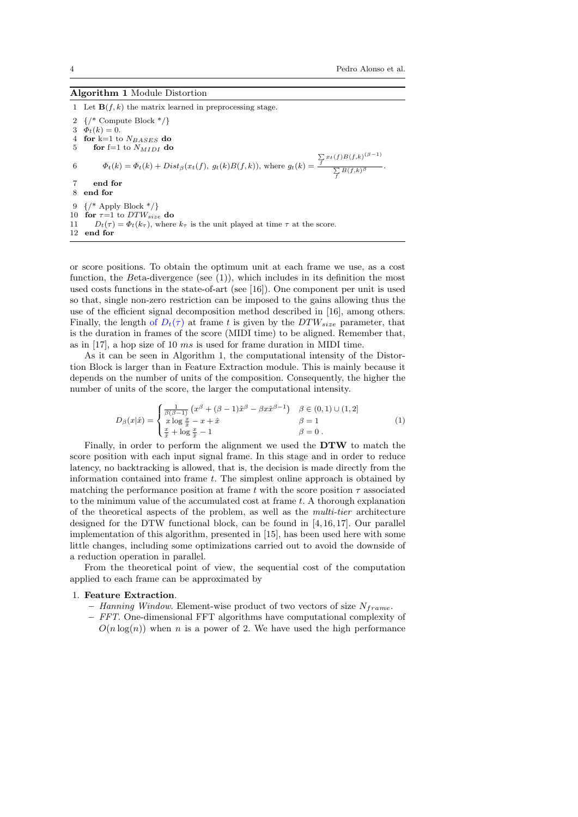| <b>Algorithm 1 Module Distortion</b> |  |  |  |
|--------------------------------------|--|--|--|
|--------------------------------------|--|--|--|

1 Let  $\mathbf{B}(f, k)$  the matrix learned in preprocessing stage. 2 {/\* Compute Block \*/} 3  $\Phi_t(k) = 0.$ <br>4 **for** k=1 to for  $k=1$  to  $N_{BASES}$  do 5 for f=1 to  $N_{MIDI}$  do 6  $\Phi_t(k) = \Phi_t(k) + Dist_{\beta}(x_t(f), g_t(k)B(f, k))$ , where  $g_t(k)$  $\sum_{f} x_t(f) B(f,k)^{(\beta-1)}$  $\sum_f B(f,k)$ β. 7 end for 8 end for 9  $\{/*$  Apply Block  $*/$ 10 for  $\tau=1$  to  $DTW_{size}$  do 11  $D_t(\tau) = \Phi_t(k_\tau)$ , where  $k_\tau$  is the unit played at time  $\tau$  at the score. 12 end for

or score positions. To obtain the optimum unit at each frame we use, as a cost function, the Beta-divergence (see  $(1)$ ), which includes in its definition the most used costs functions in the state-of-art (see [16]). One component per unit is used so that, single non-zero restriction can be imposed to the gains allowing thus the use of the efficient signal decomposition method described in [16], among others. Finally, the length of  $D_t(\tau)$  at frame t is given by the  $DTW_{size}$  parameter, that is the duration in frames of the score (MIDI time) to be aligned. Remember that, as in [17], a hop size of 10 ms is used for frame duration in MIDI time.

As it can be seen in Algorithm 1, the computational intensity of the Distortion Block is larger than in Feature Extraction module. This is mainly because it depends on the number of units of the composition. Consequently, the higher the number of units of the score, the larger the computational intensity.

$$
D_{\beta}(x|\hat{x}) = \begin{cases} \frac{1}{\beta(\beta-1)} \left( x^{\beta} + (\beta-1)\hat{x}^{\beta} - \beta x \hat{x}^{\beta-1} \right) & \beta \in (0,1) \cup (1,2] \\ x \log \frac{x}{\hat{x}} - x + \hat{x} & \beta = 1 \\ \frac{x}{\hat{x}} + \log \frac{x}{\hat{x}} - 1 & \beta = 0 \end{cases} \tag{1}
$$

Finally, in order to perform the alignment we used the DTW to match the score position with each input signal frame. In this stage and in order to reduce latency, no backtracking is allowed, that is, the decision is made directly from the information contained into frame  $t$ . The simplest online approach is obtained by matching the performance position at frame t with the score position  $\tau$  associated to the minimum value of the accumulated cost at frame t. A thorough explanation of the theoretical aspects of the problem, as well as the multi-tier architecture designed for the DTW functional block, can be found in [4, 16, 17]. Our parallel implementation of this algorithm, presented in [15], has been used here with some little changes, including some optimizations carried out to avoid the downside of a reduction operation in parallel.

From the theoretical point of view, the sequential cost of the computation applied to each frame can be approximated by

#### 1. Feature Extraction.

- Hanning Window. Element-wise product of two vectors of size  $N_{frame}$ .
- FFT. One-dimensional FFT algorithms have computational complexity of  $O(n \log(n))$  when n is a power of 2. We have used the high performance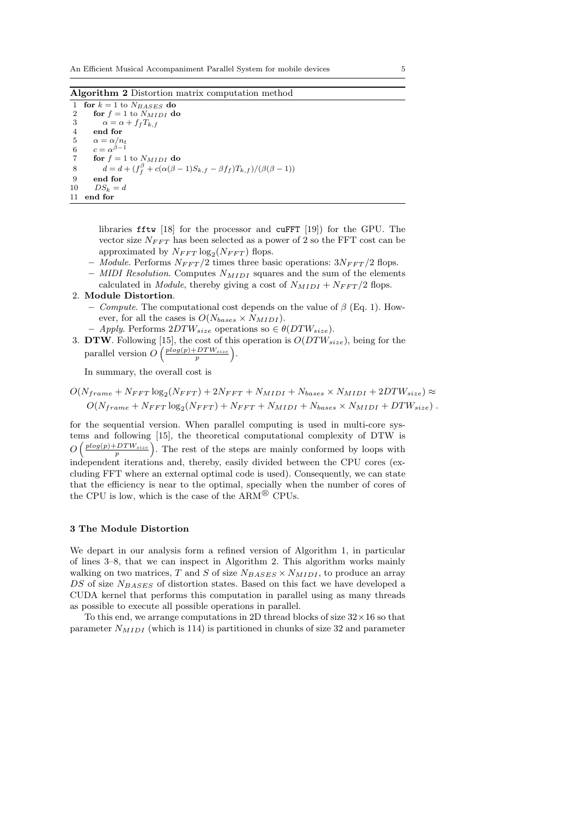Algorithm 2 Distortion matrix computation method

1 for  $k = 1$  to  $N_{BASES}$  do<br>2 for  $f = 1$  to  $N_{MIDI}$  de 2 for  $f = 1$  to  $N_{MIDI}$  do<br>3  $\alpha = \alpha + f_f T_{k.f}$ 3  $\alpha = \alpha + f_f T_{k,f}$ <br>4 end for end for 5  $\alpha = \alpha/n_t$ 6  $c = \alpha^{\beta - 1}$ 7 for  $f = 1$  to  $N_{MIDI}$  do 8  $d = d + (f_f^{\beta} + c(\alpha(\beta - 1)S_{k,f} - \beta f_f)T_{k,f})/(\beta(\beta - 1))$ 9 end for 10  $DS_k = d$ 11 end for

> libraries fftw [18] for the processor and cuFFT [19]) for the GPU. The vector size  $N_{FFT}$  has been selected as a power of 2 so the FFT cost can be approximated by  $N_{FFT}$  log<sub>2</sub>( $N_{FFT}$ ) flops.

- Module. Performs  $N_{FFT}/2$  times three basic operations:  $3N_{FFT}/2$  flops.
- MIDI Resolution. Computes  $N_{MIDI}$  squares and the sum of the elements calculated in *Module*, thereby giving a cost of  $N_{MIDI} + N_{FFT}/2$  flops.

### 2. Module Distortion.

- Compute. The computational cost depends on the value of  $\beta$  (Eq. 1). However, for all the cases is  $O(N_{bases} \times N_{MIDI})$ .
- Apply. Performs  $2DTW_{size}$  operations so  $\in \theta(DTW_{size})$ .
- 3. DTW. Following [15], the cost of this operation is  $O(DTW_{size})$ , being for the parallel version  $O\left(\frac{plog(p)+DTW_{size}}{p}\right)$ .

In summary, the overall cost is

$$
O(N_{frame} + N_{FFT} \log_2(N_{FFT}) + 2N_{FFT} + N_{MIDI} + N_{bases} \times N_{MIDI} + 2DTW_{size}) \approx
$$
  

$$
O(N_{frame} + N_{FFT} \log_2(N_{FFT}) + N_{FFT} + N_{MIDI} + N_{bases} \times N_{MIDI} + DTW_{size}).
$$

for the sequential version. When parallel computing is used in multi-core systems and following [15], the theoretical computational complexity of DTW is  $O\left(\frac{plog(p)+DTW_{size}}{p}\right)$ . The rest of the steps are mainly conformed by loops with independent iterations and, thereby, easily divided between the CPU cores (excluding FFT where an external optimal code is used). Consequently, we can state that the efficiency is near to the optimal, specially when the number of cores of the CPU is low, which is the case of the  $ARM^{\circledR}$  CPUs.

#### 3 The Module Distortion

We depart in our analysis form a refined version of Algorithm 1, in particular of lines 3–8, that we can inspect in Algorithm 2. This algorithm works mainly walking on two matrices, T and S of size  $N_{BASES} \times N_{MIDI}$ , to produce an array DS of size  $N_{BASES}$  of distortion states. Based on this fact we have developed a CUDA kernel that performs this computation in parallel using as many threads as possible to execute all possible operations in parallel.

To this end, we arrange computations in 2D thread blocks of size  $32 \times 16$  so that parameter  $N_{MIDI}$  (which is 114) is partitioned in chunks of size 32 and parameter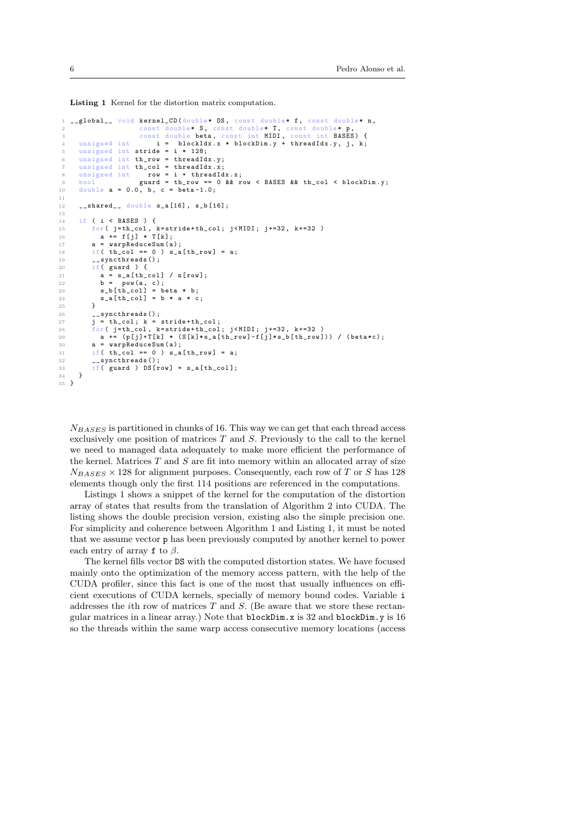Listing 1 Kernel for the distortion matrix computation.

```
__global__ void kernel_CD (double* DS, const double* f, const double* n,
 const double* S, const double* T, const double* p,<br>3 const double beta, const int MIDI, const int BASES) {<br>4 unsigned int i = blockIdx.x * blockDim.y + threadIdx.y, j, k;
 5 unsigned int stride = i * 128;
 6 unsigned int th_row = threadIdx .y;
       7 unsigned int th_col = threadIdx .x;
 8 unsigned int row = i + threadIdx.x;9 bool guard = th_row == 0 && row < BASES && th_col < blockDim.y;<br>
10 double a = 0.0, b, c = beta-1.0;
       double a = 0.0, b, c = beta - 1.0;
11
12 \qquad shared__ double s_a[16], s_b[16];
13
14 if ( i \lt k BASES ) {<br>15 for ( i = th col.
f \circ r ( j=th_col, k=stride + th_col; j < MIDI; j +=32, k +=32 )<br>
a += f[j] * T[k];
             a \neq f[j] * T[k];17 a = \text{warpReduceSum}(a);<br>
18 if (th col == 0) s sif( th_{col} == 0 ) s_a[ th_{row} ] = a;19 __syncthreads ():
20 if(\text{guard}) {<br>21 a = s a [th
21 a = s_a[th_col] / n[row];<br>
22 b = pow(a, c);22 b = pow(a, c);<br>23 s_b[th_col] = beta * b;
24 s_a [\text{th\_col}] = \text{b} * \text{a} * \text{c};
\frac{25}{26}26 \qquad \qquad \text{--synchronizeds ()};<br>
27 \qquad \qquad \text{i = th\_col; k =}j = th\_col; k = stride + th\_col;28 for (j = th\_col, k = stride + th\_col; j \lt MID; j += 32, k += 32)<br>29 a += (p[i]+T[k] * (S[k]*s a[th row]-f[i]*s b[th row]
             a \leftarrow (p[j]+T[k] * (S[k]*s_a[th_row] -f[j]*s_b[th_row])) (beta*c);
30 a = warpReduceSum (a);
31 if (th_col == 0) s_a[th_row] = a;
32 syncthreads ():
33 if ( guard ) DS[row] = s_a[th_col];<br>34 }
      \overline{\phantom{a}}35 }
```
 $N_{BASES}$  is partitioned in chunks of 16. This way we can get that each thread access exclusively one position of matrices  $T$  and  $S$ . Previously to the call to the kernel we need to managed data adequately to make more efficient the performance of the kernel. Matrices  $T$  and  $S$  are fit into memory within an allocated array of size  $N_{BASES} \times 128$  for alignment purposes. Consequently, each row of T or S has 128 elements though only the first 114 positions are referenced in the computations.

Listings 1 shows a snippet of the kernel for the computation of the distortion array of states that results from the translation of Algorithm 2 into CUDA. The listing shows the double precision version, existing also the simple precision one. For simplicity and coherence between Algorithm 1 and Listing 1, it must be noted that we assume vector p has been previously computed by another kernel to power each entry of array f to  $\beta$ .

The kernel fills vector DS with the computed distortion states. We have focused mainly onto the optimization of the memory access pattern, with the help of the CUDA profiler, since this fact is one of the most that usually influences on efficient executions of CUDA kernels, specially of memory bound codes. Variable i addresses the *i*th row of matrices  $T$  and  $S$ . (Be aware that we store these rectangular matrices in a linear array.) Note that blockDim.x is 32 and blockDim.y is 16 so the threads within the same warp access consecutive memory locations (access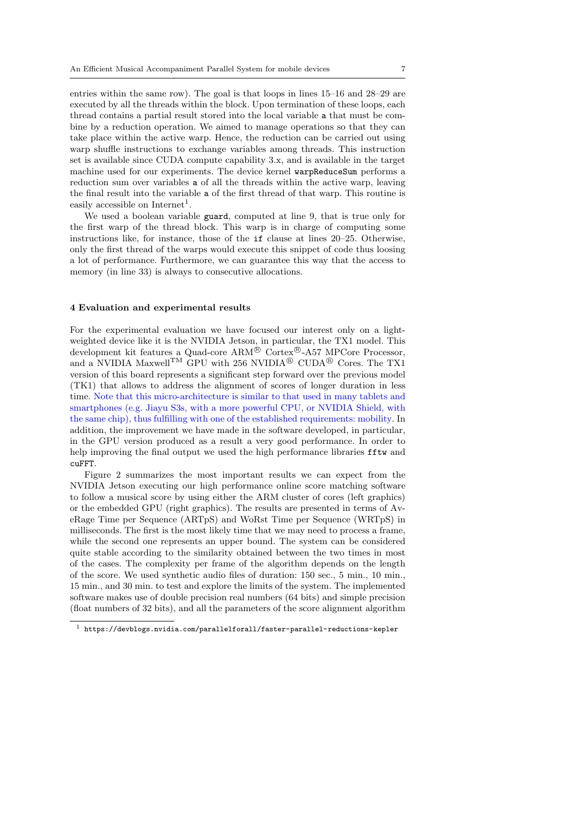entries within the same row). The goal is that loops in lines 15–16 and 28–29 are executed by all the threads within the block. Upon termination of these loops, each thread contains a partial result stored into the local variable a that must be combine by a reduction operation. We aimed to manage operations so that they can take place within the active warp. Hence, the reduction can be carried out using warp shuffle instructions to exchange variables among threads. This instruction set is available since CUDA compute capability 3.x, and is available in the target machine used for our experiments. The device kernel warpReduceSum performs a reduction sum over variables a of all the threads within the active warp, leaving the final result into the variable a of the first thread of that warp. This routine is easily accessible on  $Internet<sup>1</sup>$ .

We used a boolean variable guard, computed at line 9, that is true only for the first warp of the thread block. This warp is in charge of computing some instructions like, for instance, those of the if clause at lines 20–25. Otherwise, only the first thread of the warps would execute this snippet of code thus loosing a lot of performance. Furthermore, we can guarantee this way that the access to memory (in line 33) is always to consecutive allocations.

#### 4 Evaluation and experimental results

For the experimental evaluation we have focused our interest only on a lightweighted device like it is the NVIDIA Jetson, in particular, the TX1 model. This development kit features a Quad-core  $\text{ARM}^{\circledR}$  Cortex<sup>®</sup>-A57 MPCore Processor, and a NVIDIA Maxwell<sup>TM</sup> GPU with 256 NVIDIA<sup>®</sup> CUDA<sup>®</sup> Cores. The TX1 version of this board represents a significant step forward over the previous model (TK1) that allows to address the alignment of scores of longer duration in less time. Note that this micro-architecture is similar to that used in many tablets and smartphones (e.g. Jiayu S3s, with a more powerful CPU, or NVIDIA Shield, with the same chip), thus fulfilling with one of the established requirements: mobility. In addition, the improvement we have made in the software developed, in particular, in the GPU version produced as a result a very good performance. In order to help improving the final output we used the high performance libraries fftw and cuFFT.

Figure 2 summarizes the most important results we can expect from the NVIDIA Jetson executing our high performance online score matching software to follow a musical score by using either the ARM cluster of cores (left graphics) or the embedded GPU (right graphics). The results are presented in terms of AveRage Time per Sequence (ARTpS) and WoRst Time per Sequence (WRTpS) in milliseconds. The first is the most likely time that we may need to process a frame, while the second one represents an upper bound. The system can be considered quite stable according to the similarity obtained between the two times in most of the cases. The complexity per frame of the algorithm depends on the length of the score. We used synthetic audio files of duration: 150 sec., 5 min., 10 min., 15 min., and 30 min. to test and explore the limits of the system. The implemented software makes use of double precision real numbers (64 bits) and simple precision (float numbers of 32 bits), and all the parameters of the score alignment algorithm

 $^{\rm 1}$ https://devblogs.nvidia.com/parallelforall/faster-parallel-reductions-kepler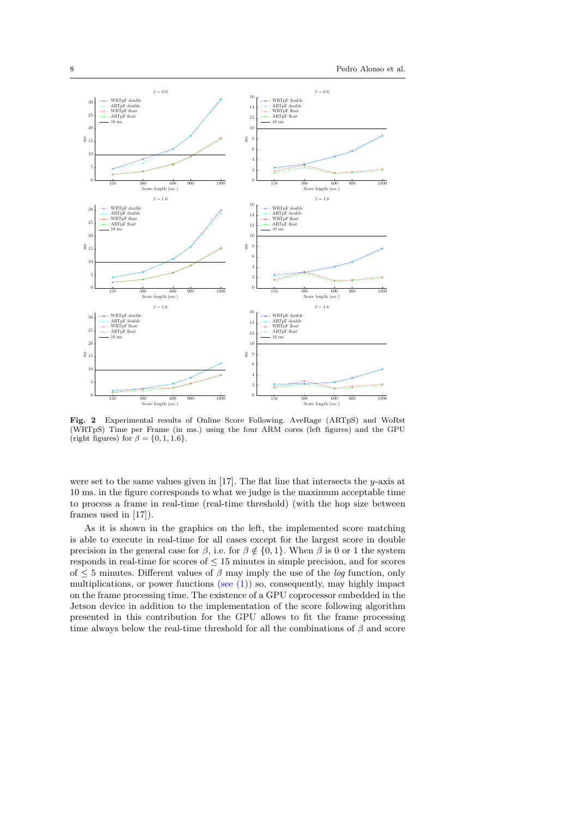

Fig. 2 Experimental results of Online Score Following. AveRage (ARTpS) and WoRst (WRTpS) Time per Frame (in ms.) using the four ARM cores (left figures) and the GPU (right figures) for  $\beta = \{0, 1, 1.6\}.$ 

were set to the same values given in [17]. The flat line that intersects the y-axis at 10 ms. in the figure corresponds to what we judge is the maximum acceptable time to process a frame in real-time (real-time threshold) (with the hop size between frames used in [17]).

As it is shown in the graphics on the left, the implemented score matching is able to execute in real-time for all cases except for the largest score in double precision in the general case for  $\beta$ , i.e. for  $\beta \notin \{0, 1\}$ . When  $\beta$  is 0 or 1 the system responds in real-time for scores of  $\leq 15$  minutes in simple precision, and for scores of  $\leq$  5 minutes. Different values of  $\beta$  may imply the use of the *log* function, only multiplications, or power functions (see (1)) so, consequently, may highly impact on the frame processing time. The existence of a GPU coprocessor embedded in the Jetson device in addition to the implementation of the score following algorithm presented in this contribution for the GPU allows to fit the frame processing time always below the real-time threshold for all the combinations of  $\beta$  and score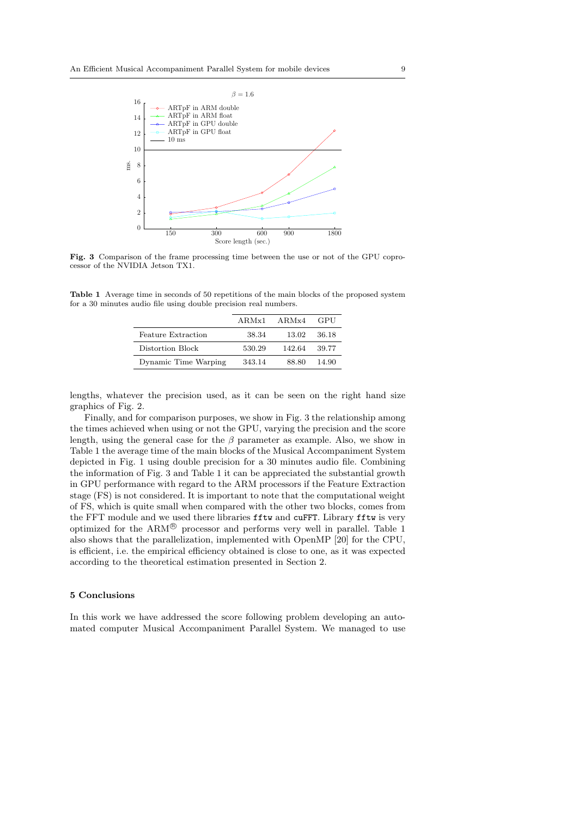

Fig. 3 Comparison of the frame processing time between the use or not of the GPU coprocessor of the NVIDIA Jetson TX1.

Table 1 Average time in seconds of 50 repetitions of the main blocks of the proposed system for a 30 minutes audio file using double precision real numbers.

|                           | $ARMx1$ $ARMx4$ |        | - GPU |
|---------------------------|-----------------|--------|-------|
| <b>Feature Extraction</b> | 38.34           | 13.02  | 36.18 |
| Distortion Block          | 530.29          | 142.64 | 39.77 |
| Dynamic Time Warping      | 343.14          | 88.80  | 14.90 |

lengths, whatever the precision used, as it can be seen on the right hand size graphics of Fig. 2.

Finally, and for comparison purposes, we show in Fig. 3 the relationship among the times achieved when using or not the GPU, varying the precision and the score length, using the general case for the  $\beta$  parameter as example. Also, we show in Table 1 the average time of the main blocks of the Musical Accompaniment System depicted in Fig. 1 using double precision for a 30 minutes audio file. Combining the information of Fig. 3 and Table 1 it can be appreciated the substantial growth in GPU performance with regard to the ARM processors if the Feature Extraction stage (FS) is not considered. It is important to note that the computational weight of FS, which is quite small when compared with the other two blocks, comes from the FFT module and we used there libraries fftw and cuFFT. Library fftw is very optimized for the  $ARM^{\circledR}$  processor and performs very well in parallel. Table 1 also shows that the parallelization, implemented with OpenMP [20] for the CPU, is efficient, i.e. the empirical efficiency obtained is close to one, as it was expected according to the theoretical estimation presented in Section 2.

## 5 Conclusions

In this work we have addressed the score following problem developing an automated computer Musical Accompaniment Parallel System. We managed to use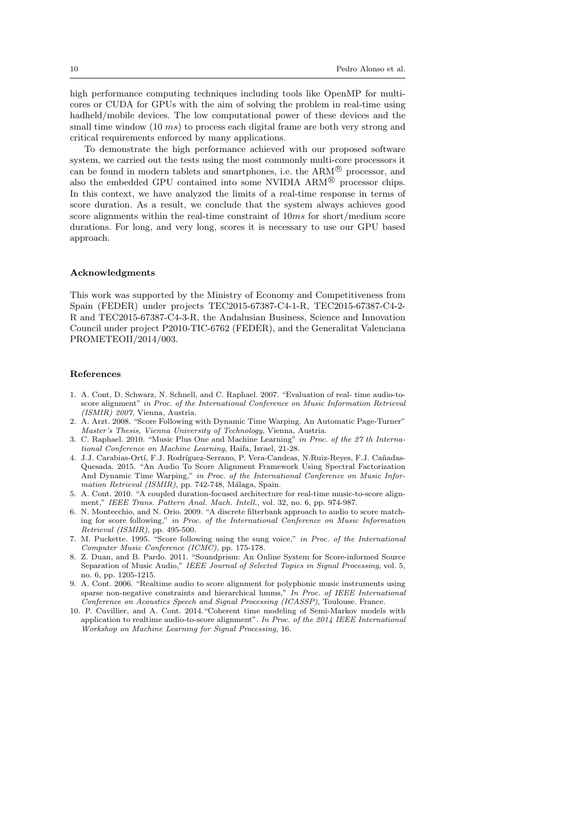high performance computing techniques including tools like OpenMP for multicores or CUDA for GPUs with the aim of solving the problem in real-time using hadheld/mobile devices. The low computational power of these devices and the small time window  $(10 \text{ ms})$  to process each digital frame are both very strong and critical requirements enforced by many applications.

To demonstrate the high performance achieved with our proposed software system, we carried out the tests using the most commonly multi-core processors it can be found in modern tablets and smartphones, i.e. the  $ARM^{\circledR}$  processor, and also the embedded GPU contained into some NVIDIA ARM<sup>®</sup> processor chips. In this context, we have analyzed the limits of a real-time response in terms of score duration. As a result, we conclude that the system always achieves good score alignments within the real-time constraint of  $10ms$  for short/medium score durations. For long, and very long, scores it is necessary to use our GPU based approach.

#### Acknowledgments

This work was supported by the Ministry of Economy and Competitiveness from Spain (FEDER) under projects TEC2015-67387-C4-1-R, TEC2015-67387-C4-2- R and TEC2015-67387-C4-3-R, the Andalusian Business, Science and Innovation Council under project P2010-TIC-6762 (FEDER), and the Generalitat Valenciana PROMETEOII/2014/003.

#### References

- 1. A. Cont, D. Schwarz, N. Schnell, and C. Raphael. 2007. "Evaluation of real- time audio-toscore alignment" in Proc. of the International Conference on Music Information Retrieval (ISMIR) 2007, Vienna, Austria.
- 2. A. Arzt. 2008. "Score Following with Dynamic Time Warping. An Automatic Page-Turner" Master's Thesis, Vienna University of Technology, Vienna, Austria.
- 3. C. Raphael. 2010. "Music Plus One and Machine Learning" in Proc. of the 27 th International Conference on Machine Learning, Haifa, Israel, 21-28.
- 4. J.J. Carabias-Ortí, F.J. Rodríguez-Serrano, P. Vera-Candeas, N.Ruiz-Reyes, F.J. Cañadas-Quesada. 2015. "An Audio To Score Alignment Framework Using Spectral Factorization And Dynamic Time Warping," in Proc. of the International Conference on Music Information Retrieval (ISMIR), pp. 742-748, Málaga, Spain.
- 5. A. Cont. 2010. "A coupled duration-focused architecture for real-time music-to-score alignment," IEEE Trans. Pattern Anal. Mach. Intell., vol. 32, no. 6, pp. 974-987.
- 6. N. Montecchio, and N. Orio. 2009. "A discrete filterbank approach to audio to score matching for score following," in Proc. of the International Conference on Music Information Retrieval (ISMIR), pp. 495-500.
- 7. M. Puckette. 1995. "Score following using the sung voice," in Proc. of the International Computer Music Conference (ICMC), pp. 175-178.
- 8. Z. Duan, and B. Pardo. 2011. "Soundprism: An Online System for Score-informed Source Separation of Music Audio," IEEE Journal of Selected Topics in Signal Processing, vol. 5, no. 6, pp. 1205-1215.
- 9. A. Cont. 2006. "Realtime audio to score alignment for polyphonic music instruments using sparse non-negative constraints and hierarchical hmms," In Proc. of IEEE International Conference on Acoustics Speech and Signal Processing (ICASSP), Toulouse. France.
- 10. P. Cuvillier, and A. Cont. 2014."Coherent time modeling of Semi-Markov models with application to realtime audio-to-score alignment". In Proc. of the 2014 IEEE International Workshop on Machine Learning for Signal Processing, 16.